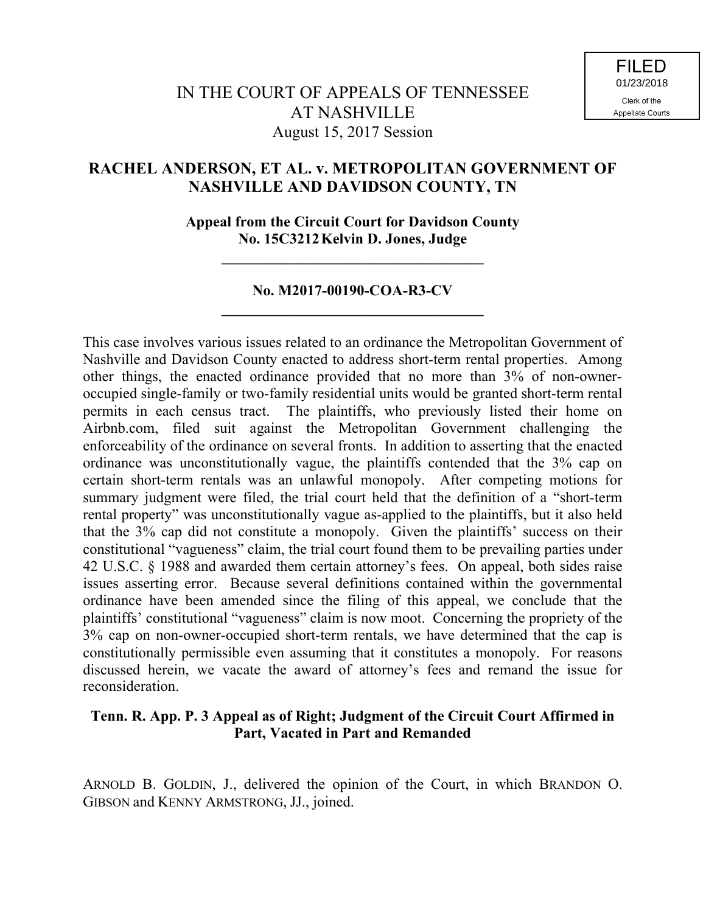# **RACHEL ANDERSON, ET AL. v. METROPOLITAN GOVERNMENT OF NASHVILLE AND DAVIDSON COUNTY, TN**

**Appeal from the Circuit Court for Davidson County No. 15C3212Kelvin D. Jones, Judge**

**\_\_\_\_\_\_\_\_\_\_\_\_\_\_\_\_\_\_\_\_\_\_\_\_\_\_\_\_\_\_\_\_\_\_\_**

# **No. M2017-00190-COA-R3-CV \_\_\_\_\_\_\_\_\_\_\_\_\_\_\_\_\_\_\_\_\_\_\_\_\_\_\_\_\_\_\_\_\_\_\_**

This case involves various issues related to an ordinance the Metropolitan Government of Nashville and Davidson County enacted to address short-term rental properties. Among other things, the enacted ordinance provided that no more than 3% of non-owneroccupied single-family or two-family residential units would be granted short-term rental permits in each census tract. The plaintiffs, who previously listed their home on Airbnb.com, filed suit against the Metropolitan Government challenging the enforceability of the ordinance on several fronts. In addition to asserting that the enacted ordinance was unconstitutionally vague, the plaintiffs contended that the 3% cap on certain short-term rentals was an unlawful monopoly. After competing motions for summary judgment were filed, the trial court held that the definition of a "short-term rental property" was unconstitutionally vague as-applied to the plaintiffs, but it also held that the 3% cap did not constitute a monopoly. Given the plaintiffs' success on their constitutional "vagueness" claim, the trial court found them to be prevailing parties under 42 U.S.C. § 1988 and awarded them certain attorney's fees. On appeal, both sides raise issues asserting error. Because several definitions contained within the governmental ordinance have been amended since the filing of this appeal, we conclude that the plaintiffs' constitutional "vagueness" claim is now moot. Concerning the propriety of the 3% cap on non-owner-occupied short-term rentals, we have determined that the cap is constitutionally permissible even assuming that it constitutes a monopoly. For reasons discussed herein, we vacate the award of attorney's fees and remand the issue for reconsideration.

## **Tenn. R. App. P. 3 Appeal as of Right; Judgment of the Circuit Court Affirmed in Part, Vacated in Part and Remanded**

ARNOLD B. GOLDIN, J., delivered the opinion of the Court, in which BRANDON O. GIBSON and KENNY ARMSTRONG, JJ., joined.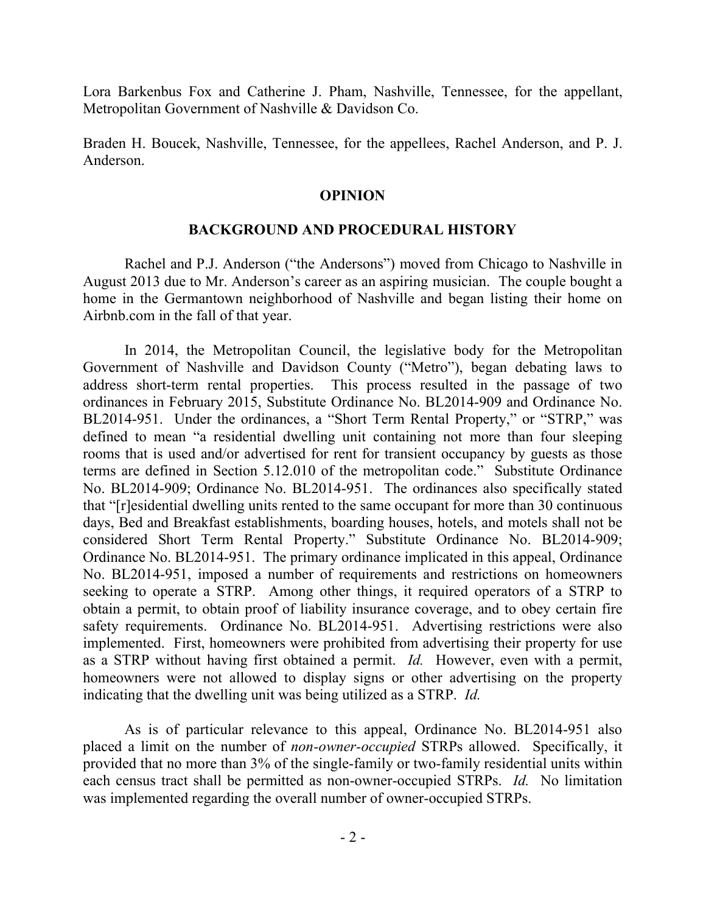Lora Barkenbus Fox and Catherine J. Pham, Nashville, Tennessee, for the appellant, Metropolitan Government of Nashville & Davidson Co.

Braden H. Boucek, Nashville, Tennessee, for the appellees, Rachel Anderson, and P. J. Anderson.

#### **OPINION**

#### **BACKGROUND AND PROCEDURAL HISTORY**

Rachel and P.J. Anderson ("the Andersons") moved from Chicago to Nashville in August 2013 due to Mr. Anderson's career as an aspiring musician. The couple bought a home in the Germantown neighborhood of Nashville and began listing their home on Airbnb.com in the fall of that year.

In 2014, the Metropolitan Council, the legislative body for the Metropolitan Government of Nashville and Davidson County ("Metro"), began debating laws to address short-term rental properties. This process resulted in the passage of two ordinances in February 2015, Substitute Ordinance No. BL2014-909 and Ordinance No. BL2014-951. Under the ordinances, a "Short Term Rental Property," or "STRP," was defined to mean "a residential dwelling unit containing not more than four sleeping rooms that is used and/or advertised for rent for transient occupancy by guests as those terms are defined in Section 5.12.010 of the metropolitan code." Substitute Ordinance No. BL2014-909; Ordinance No. BL2014-951. The ordinances also specifically stated that "[r]esidential dwelling units rented to the same occupant for more than 30 continuous days, Bed and Breakfast establishments, boarding houses, hotels, and motels shall not be considered Short Term Rental Property." Substitute Ordinance No. BL2014-909; Ordinance No. BL2014-951. The primary ordinance implicated in this appeal, Ordinance No. BL2014-951, imposed a number of requirements and restrictions on homeowners seeking to operate a STRP. Among other things, it required operators of a STRP to obtain a permit, to obtain proof of liability insurance coverage, and to obey certain fire safety requirements. Ordinance No. BL2014-951. Advertising restrictions were also implemented. First, homeowners were prohibited from advertising their property for use as a STRP without having first obtained a permit. *Id.* However, even with a permit, homeowners were not allowed to display signs or other advertising on the property indicating that the dwelling unit was being utilized as a STRP. *Id.*

As is of particular relevance to this appeal, Ordinance No. BL2014-951 also placed a limit on the number of *non-owner-occupied* STRPs allowed. Specifically, it provided that no more than 3% of the single-family or two-family residential units within each census tract shall be permitted as non-owner-occupied STRPs. *Id.* No limitation was implemented regarding the overall number of owner-occupied STRPs.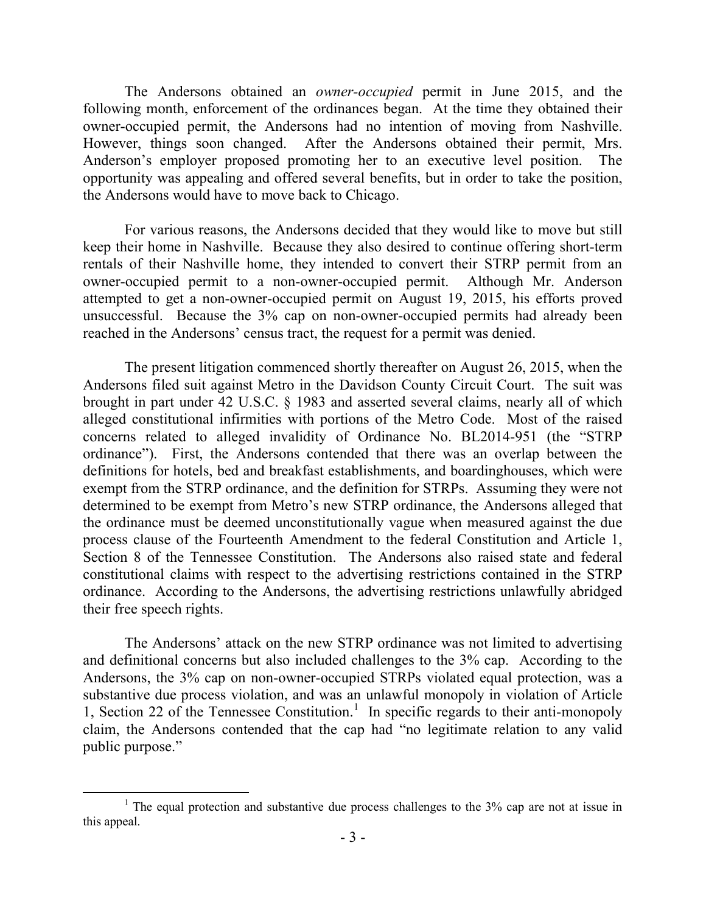The Andersons obtained an *owner-occupied* permit in June 2015, and the following month, enforcement of the ordinances began. At the time they obtained their owner-occupied permit, the Andersons had no intention of moving from Nashville. However, things soon changed. After the Andersons obtained their permit, Mrs. Anderson's employer proposed promoting her to an executive level position. The opportunity was appealing and offered several benefits, but in order to take the position, the Andersons would have to move back to Chicago.

For various reasons, the Andersons decided that they would like to move but still keep their home in Nashville. Because they also desired to continue offering short-term rentals of their Nashville home, they intended to convert their STRP permit from an owner-occupied permit to a non-owner-occupied permit. Although Mr. Anderson attempted to get a non-owner-occupied permit on August 19, 2015, his efforts proved unsuccessful. Because the 3% cap on non-owner-occupied permits had already been reached in the Andersons' census tract, the request for a permit was denied.

The present litigation commenced shortly thereafter on August 26, 2015, when the Andersons filed suit against Metro in the Davidson County Circuit Court. The suit was brought in part under 42 U.S.C. § 1983 and asserted several claims, nearly all of which alleged constitutional infirmities with portions of the Metro Code. Most of the raised concerns related to alleged invalidity of Ordinance No. BL2014-951 (the "STRP ordinance"). First, the Andersons contended that there was an overlap between the definitions for hotels, bed and breakfast establishments, and boardinghouses, which were exempt from the STRP ordinance, and the definition for STRPs. Assuming they were not determined to be exempt from Metro's new STRP ordinance, the Andersons alleged that the ordinance must be deemed unconstitutionally vague when measured against the due process clause of the Fourteenth Amendment to the federal Constitution and Article 1, Section 8 of the Tennessee Constitution. The Andersons also raised state and federal constitutional claims with respect to the advertising restrictions contained in the STRP ordinance. According to the Andersons, the advertising restrictions unlawfully abridged their free speech rights.

The Andersons' attack on the new STRP ordinance was not limited to advertising and definitional concerns but also included challenges to the 3% cap. According to the Andersons, the 3% cap on non-owner-occupied STRPs violated equal protection, was a substantive due process violation, and was an unlawful monopoly in violation of Article 1, Section 22 of the Tennessee Constitution.<sup>1</sup> In specific regards to their anti-monopoly claim, the Andersons contended that the cap had "no legitimate relation to any valid public purpose."

 $1$  The equal protection and substantive due process challenges to the 3% cap are not at issue in this appeal.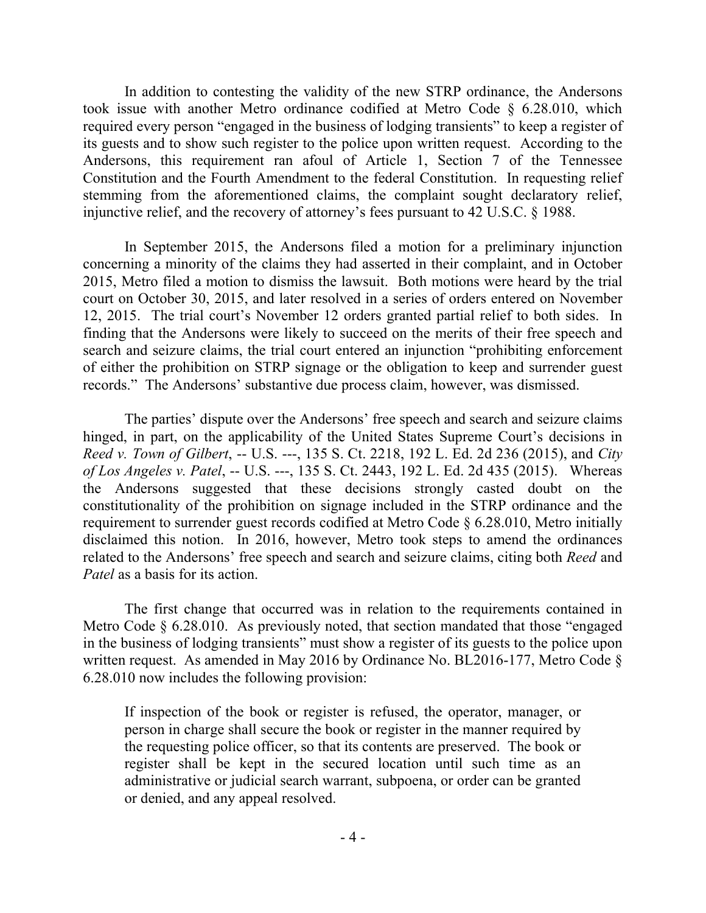In addition to contesting the validity of the new STRP ordinance, the Andersons took issue with another Metro ordinance codified at Metro Code § 6.28.010, which required every person "engaged in the business of lodging transients" to keep a register of its guests and to show such register to the police upon written request. According to the Andersons, this requirement ran afoul of Article 1, Section 7 of the Tennessee Constitution and the Fourth Amendment to the federal Constitution. In requesting relief stemming from the aforementioned claims, the complaint sought declaratory relief, injunctive relief, and the recovery of attorney's fees pursuant to 42 U.S.C. § 1988.

In September 2015, the Andersons filed a motion for a preliminary injunction concerning a minority of the claims they had asserted in their complaint, and in October 2015, Metro filed a motion to dismiss the lawsuit. Both motions were heard by the trial court on October 30, 2015, and later resolved in a series of orders entered on November 12, 2015. The trial court's November 12 orders granted partial relief to both sides. In finding that the Andersons were likely to succeed on the merits of their free speech and search and seizure claims, the trial court entered an injunction "prohibiting enforcement of either the prohibition on STRP signage or the obligation to keep and surrender guest records." The Andersons' substantive due process claim, however, was dismissed.

The parties' dispute over the Andersons' free speech and search and seizure claims hinged, in part, on the applicability of the United States Supreme Court's decisions in *Reed v. Town of Gilbert*, -- U.S. ---, 135 S. Ct. 2218, 192 L. Ed. 2d 236 (2015), and *City of Los Angeles v. Patel*, -- U.S. ---, 135 S. Ct. 2443, 192 L. Ed. 2d 435 (2015). Whereas the Andersons suggested that these decisions strongly casted doubt on the constitutionality of the prohibition on signage included in the STRP ordinance and the requirement to surrender guest records codified at Metro Code § 6.28.010, Metro initially disclaimed this notion. In 2016, however, Metro took steps to amend the ordinances related to the Andersons' free speech and search and seizure claims, citing both *Reed* and *Patel* as a basis for its action.

The first change that occurred was in relation to the requirements contained in Metro Code § 6.28.010. As previously noted, that section mandated that those "engaged in the business of lodging transients" must show a register of its guests to the police upon written request. As amended in May 2016 by Ordinance No. BL2016-177, Metro Code  $\delta$ 6.28.010 now includes the following provision:

If inspection of the book or register is refused, the operator, manager, or person in charge shall secure the book or register in the manner required by the requesting police officer, so that its contents are preserved. The book or register shall be kept in the secured location until such time as an administrative or judicial search warrant, subpoena, or order can be granted or denied, and any appeal resolved.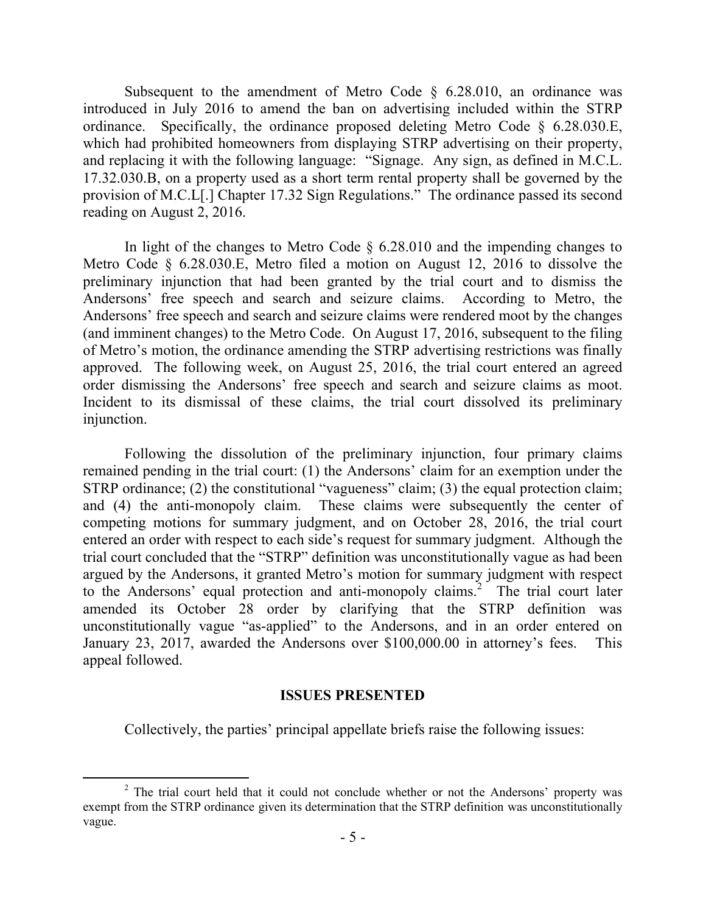Subsequent to the amendment of Metro Code  $\S$  6.28.010, an ordinance was introduced in July 2016 to amend the ban on advertising included within the STRP ordinance. Specifically, the ordinance proposed deleting Metro Code § 6.28.030.E, which had prohibited homeowners from displaying STRP advertising on their property, and replacing it with the following language: "Signage. Any sign, as defined in M.C.L. 17.32.030.B, on a property used as a short term rental property shall be governed by the provision of M.C.L[.] Chapter 17.32 Sign Regulations." The ordinance passed its second reading on August 2, 2016.

In light of the changes to Metro Code § 6.28.010 and the impending changes to Metro Code § 6.28.030.E, Metro filed a motion on August 12, 2016 to dissolve the preliminary injunction that had been granted by the trial court and to dismiss the Andersons' free speech and search and seizure claims. According to Metro, the Andersons' free speech and search and seizure claims were rendered moot by the changes (and imminent changes) to the Metro Code. On August 17, 2016, subsequent to the filing of Metro's motion, the ordinance amending the STRP advertising restrictions was finally approved. The following week, on August 25, 2016, the trial court entered an agreed order dismissing the Andersons' free speech and search and seizure claims as moot. Incident to its dismissal of these claims, the trial court dissolved its preliminary injunction.

Following the dissolution of the preliminary injunction, four primary claims remained pending in the trial court: (1) the Andersons' claim for an exemption under the STRP ordinance; (2) the constitutional "vagueness" claim; (3) the equal protection claim; and (4) the anti-monopoly claim. These claims were subsequently the center of competing motions for summary judgment, and on October 28, 2016, the trial court entered an order with respect to each side's request for summary judgment. Although the trial court concluded that the "STRP" definition was unconstitutionally vague as had been argued by the Andersons, it granted Metro's motion for summary judgment with respect to the Andersons' equal protection and anti-monopoly claims.<sup>2</sup> The trial court later amended its October 28 order by clarifying that the STRP definition was unconstitutionally vague "as-applied" to the Andersons, and in an order entered on January 23, 2017, awarded the Andersons over \$100,000.00 in attorney's fees. This appeal followed.

#### **ISSUES PRESENTED**

Collectively, the parties' principal appellate briefs raise the following issues:

<sup>&</sup>lt;sup>2</sup> The trial court held that it could not conclude whether or not the Andersons' property was exempt from the STRP ordinance given its determination that the STRP definition was unconstitutionally vague.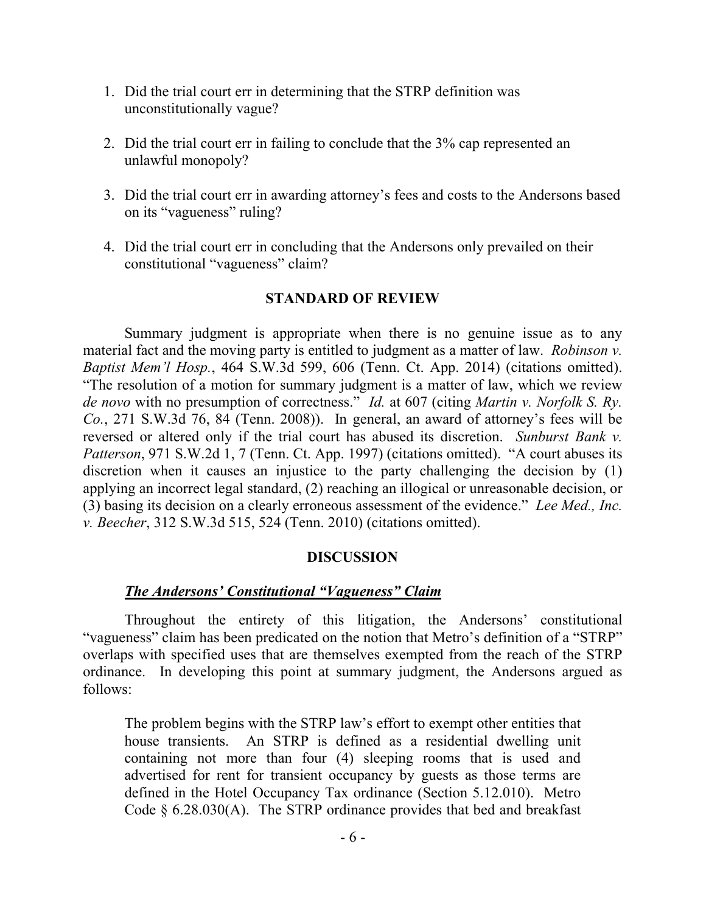- 1. Did the trial court err in determining that the STRP definition was unconstitutionally vague?
- 2. Did the trial court err in failing to conclude that the 3% cap represented an unlawful monopoly?
- 3. Did the trial court err in awarding attorney's fees and costs to the Andersons based on its "vagueness" ruling?
- 4. Did the trial court err in concluding that the Andersons only prevailed on their constitutional "vagueness" claim?

## **STANDARD OF REVIEW**

Summary judgment is appropriate when there is no genuine issue as to any material fact and the moving party is entitled to judgment as a matter of law. *Robinson v. Baptist Mem'l Hosp.*, 464 S.W.3d 599, 606 (Tenn. Ct. App. 2014) (citations omitted). "The resolution of a motion for summary judgment is a matter of law, which we review *de novo* with no presumption of correctness." *Id.* at 607 (citing *Martin v. Norfolk S. Ry. Co.*, 271 S.W.3d 76, 84 (Tenn. 2008)). In general, an award of attorney's fees will be reversed or altered only if the trial court has abused its discretion. *Sunburst Bank v. Patterson*, 971 S.W.2d 1, 7 (Tenn. Ct. App. 1997) (citations omitted). "A court abuses its discretion when it causes an injustice to the party challenging the decision by (1) applying an incorrect legal standard, (2) reaching an illogical or unreasonable decision, or (3) basing its decision on a clearly erroneous assessment of the evidence." *Lee Med., Inc. v. Beecher*, 312 S.W.3d 515, 524 (Tenn. 2010) (citations omitted).

## **DISCUSSION**

# *The Andersons' Constitutional "Vagueness" Claim*

Throughout the entirety of this litigation, the Andersons' constitutional "vagueness" claim has been predicated on the notion that Metro's definition of a "STRP" overlaps with specified uses that are themselves exempted from the reach of the STRP ordinance. In developing this point at summary judgment, the Andersons argued as follows:

The problem begins with the STRP law's effort to exempt other entities that house transients. An STRP is defined as a residential dwelling unit containing not more than four (4) sleeping rooms that is used and advertised for rent for transient occupancy by guests as those terms are defined in the Hotel Occupancy Tax ordinance (Section 5.12.010). Metro Code  $\S$  6.28.030(A). The STRP ordinance provides that bed and breakfast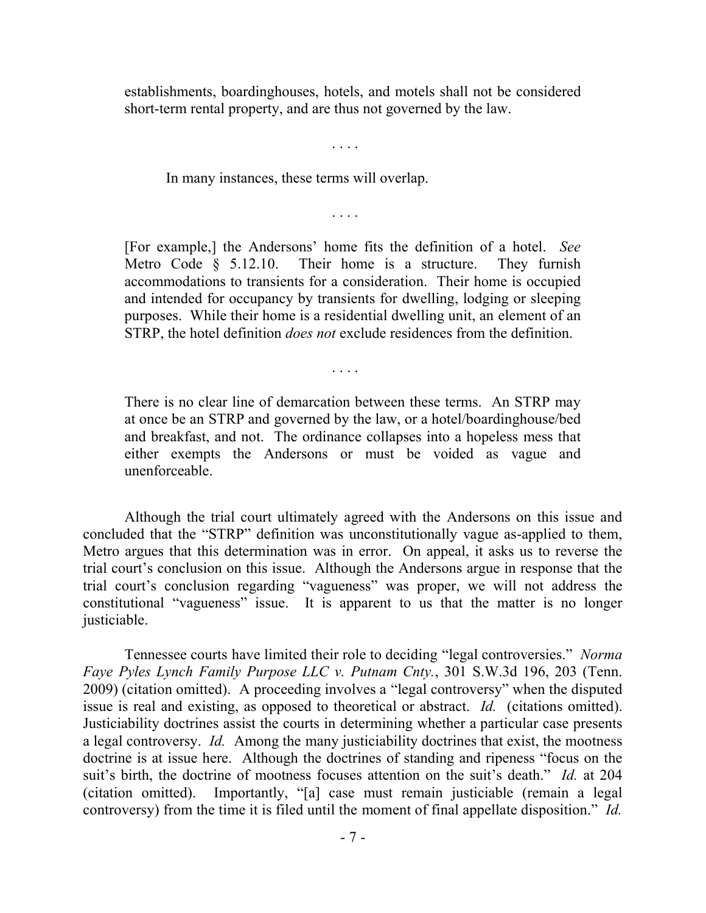establishments, boardinghouses, hotels, and motels shall not be considered short-term rental property, and are thus not governed by the law.

. . . .

In many instances, these terms will overlap.

. . . .

[For example,] the Andersons' home fits the definition of a hotel. *See* Metro Code § 5.12.10. Their home is a structure. They furnish accommodations to transients for a consideration. Their home is occupied and intended for occupancy by transients for dwelling, lodging or sleeping purposes. While their home is a residential dwelling unit, an element of an STRP, the hotel definition *does not* exclude residences from the definition.

. . . .

There is no clear line of demarcation between these terms. An STRP may at once be an STRP and governed by the law, or a hotel/boardinghouse/bed and breakfast, and not. The ordinance collapses into a hopeless mess that either exempts the Andersons or must be voided as vague and unenforceable.

Although the trial court ultimately agreed with the Andersons on this issue and concluded that the "STRP" definition was unconstitutionally vague as-applied to them, Metro argues that this determination was in error. On appeal, it asks us to reverse the trial court's conclusion on this issue. Although the Andersons argue in response that the trial court's conclusion regarding "vagueness" was proper, we will not address the constitutional "vagueness" issue. It is apparent to us that the matter is no longer justiciable.

Tennessee courts have limited their role to deciding "legal controversies." *Norma Faye Pyles Lynch Family Purpose LLC v. Putnam Cnty.*, 301 S.W.3d 196, 203 (Tenn. 2009) (citation omitted). A proceeding involves a "legal controversy" when the disputed issue is real and existing, as opposed to theoretical or abstract. *Id.* (citations omitted). Justiciability doctrines assist the courts in determining whether a particular case presents a legal controversy. *Id.* Among the many justiciability doctrines that exist, the mootness doctrine is at issue here. Although the doctrines of standing and ripeness "focus on the suit's birth, the doctrine of mootness focuses attention on the suit's death." *Id.* at 204 (citation omitted). Importantly, "[a] case must remain justiciable (remain a legal controversy) from the time it is filed until the moment of final appellate disposition." *Id.*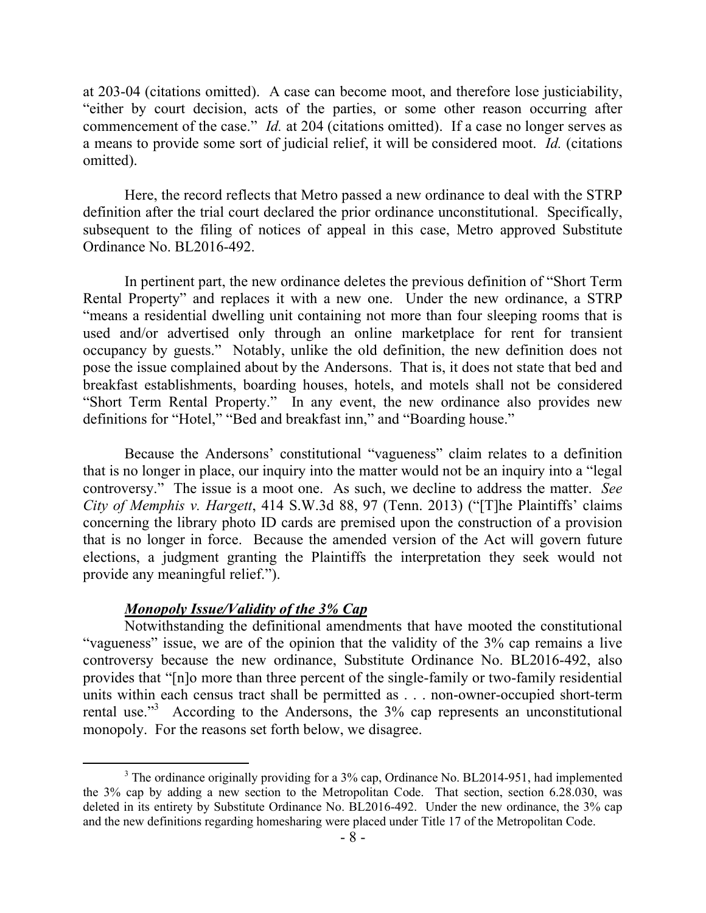at 203-04 (citations omitted). A case can become moot, and therefore lose justiciability, "either by court decision, acts of the parties, or some other reason occurring after commencement of the case." *Id.* at 204 (citations omitted). If a case no longer serves as a means to provide some sort of judicial relief, it will be considered moot. *Id.* (citations omitted).

Here, the record reflects that Metro passed a new ordinance to deal with the STRP definition after the trial court declared the prior ordinance unconstitutional. Specifically, subsequent to the filing of notices of appeal in this case, Metro approved Substitute Ordinance No. BL2016-492.

In pertinent part, the new ordinance deletes the previous definition of "Short Term Rental Property" and replaces it with a new one. Under the new ordinance, a STRP "means a residential dwelling unit containing not more than four sleeping rooms that is used and/or advertised only through an online marketplace for rent for transient occupancy by guests." Notably, unlike the old definition, the new definition does not pose the issue complained about by the Andersons. That is, it does not state that bed and breakfast establishments, boarding houses, hotels, and motels shall not be considered "Short Term Rental Property." In any event, the new ordinance also provides new definitions for "Hotel," "Bed and breakfast inn," and "Boarding house."

Because the Andersons' constitutional "vagueness" claim relates to a definition that is no longer in place, our inquiry into the matter would not be an inquiry into a "legal controversy." The issue is a moot one. As such, we decline to address the matter. *See City of Memphis v. Hargett*, 414 S.W.3d 88, 97 (Tenn. 2013) ("[T]he Plaintiffs' claims concerning the library photo ID cards are premised upon the construction of a provision that is no longer in force. Because the amended version of the Act will govern future elections, a judgment granting the Plaintiffs the interpretation they seek would not provide any meaningful relief.").

### *Monopoly Issue/Validity of the 3% Cap*

Notwithstanding the definitional amendments that have mooted the constitutional "vagueness" issue, we are of the opinion that the validity of the 3% cap remains a live controversy because the new ordinance, Substitute Ordinance No. BL2016-492, also provides that "[n]o more than three percent of the single-family or two-family residential units within each census tract shall be permitted as . . . non-owner-occupied short-term rental use."<sup>3</sup> According to the Andersons, the 3% cap represents an unconstitutional monopoly. For the reasons set forth below, we disagree.

<sup>&</sup>lt;sup>3</sup> The ordinance originally providing for a 3% cap, Ordinance No. BL2014-951, had implemented the 3% cap by adding a new section to the Metropolitan Code. That section, section 6.28.030, was deleted in its entirety by Substitute Ordinance No. BL2016-492. Under the new ordinance, the 3% cap and the new definitions regarding homesharing were placed under Title 17 of the Metropolitan Code.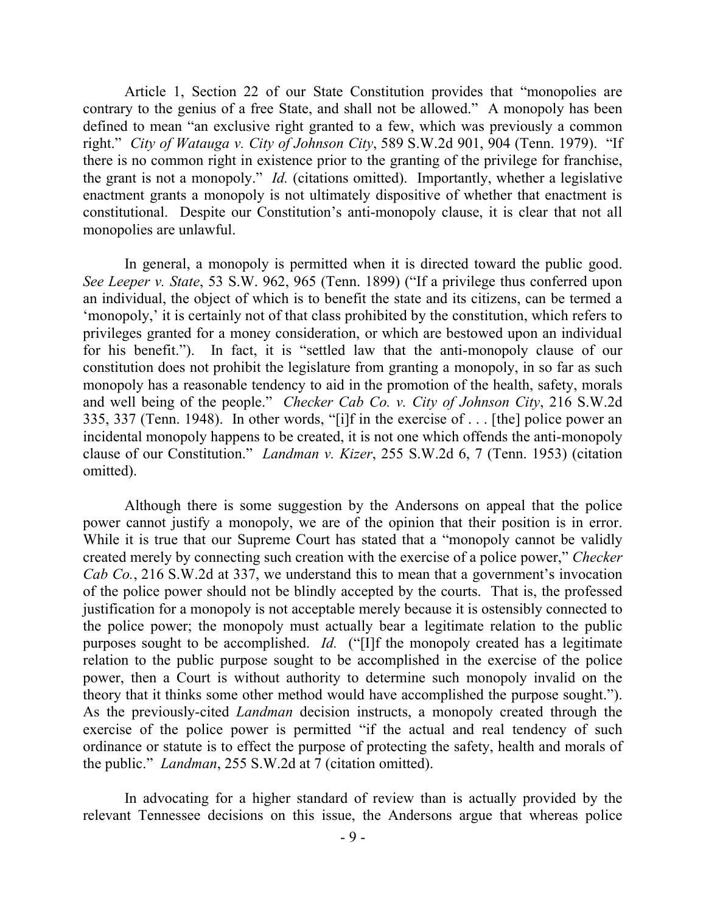Article 1, Section 22 of our State Constitution provides that "monopolies are contrary to the genius of a free State, and shall not be allowed." A monopoly has been defined to mean "an exclusive right granted to a few, which was previously a common right." *City of Watauga v. City of Johnson City*, 589 S.W.2d 901, 904 (Tenn. 1979). "If there is no common right in existence prior to the granting of the privilege for franchise, the grant is not a monopoly." *Id.* (citations omitted). Importantly, whether a legislative enactment grants a monopoly is not ultimately dispositive of whether that enactment is constitutional. Despite our Constitution's anti-monopoly clause, it is clear that not all monopolies are unlawful.

In general, a monopoly is permitted when it is directed toward the public good. *See Leeper v. State*, 53 S.W. 962, 965 (Tenn. 1899) ("If a privilege thus conferred upon an individual, the object of which is to benefit the state and its citizens, can be termed a 'monopoly,' it is certainly not of that class prohibited by the constitution, which refers to privileges granted for a money consideration, or which are bestowed upon an individual for his benefit."). In fact, it is "settled law that the anti-monopoly clause of our constitution does not prohibit the legislature from granting a monopoly, in so far as such monopoly has a reasonable tendency to aid in the promotion of the health, safety, morals and well being of the people." *Checker Cab Co. v. City of Johnson City*, 216 S.W.2d 335, 337 (Tenn. 1948). In other words, "[i]f in the exercise of . . . [the] police power an incidental monopoly happens to be created, it is not one which offends the anti-monopoly clause of our Constitution." *Landman v. Kizer*, 255 S.W.2d 6, 7 (Tenn. 1953) (citation omitted).

Although there is some suggestion by the Andersons on appeal that the police power cannot justify a monopoly, we are of the opinion that their position is in error. While it is true that our Supreme Court has stated that a "monopoly cannot be validly created merely by connecting such creation with the exercise of a police power," *Checker Cab Co.*, 216 S.W.2d at 337, we understand this to mean that a government's invocation of the police power should not be blindly accepted by the courts. That is, the professed justification for a monopoly is not acceptable merely because it is ostensibly connected to the police power; the monopoly must actually bear a legitimate relation to the public purposes sought to be accomplished. *Id.* ("[I]f the monopoly created has a legitimate relation to the public purpose sought to be accomplished in the exercise of the police power, then a Court is without authority to determine such monopoly invalid on the theory that it thinks some other method would have accomplished the purpose sought."). As the previously-cited *Landman* decision instructs, a monopoly created through the exercise of the police power is permitted "if the actual and real tendency of such ordinance or statute is to effect the purpose of protecting the safety, health and morals of the public." *Landman*, 255 S.W.2d at 7 (citation omitted).

In advocating for a higher standard of review than is actually provided by the relevant Tennessee decisions on this issue, the Andersons argue that whereas police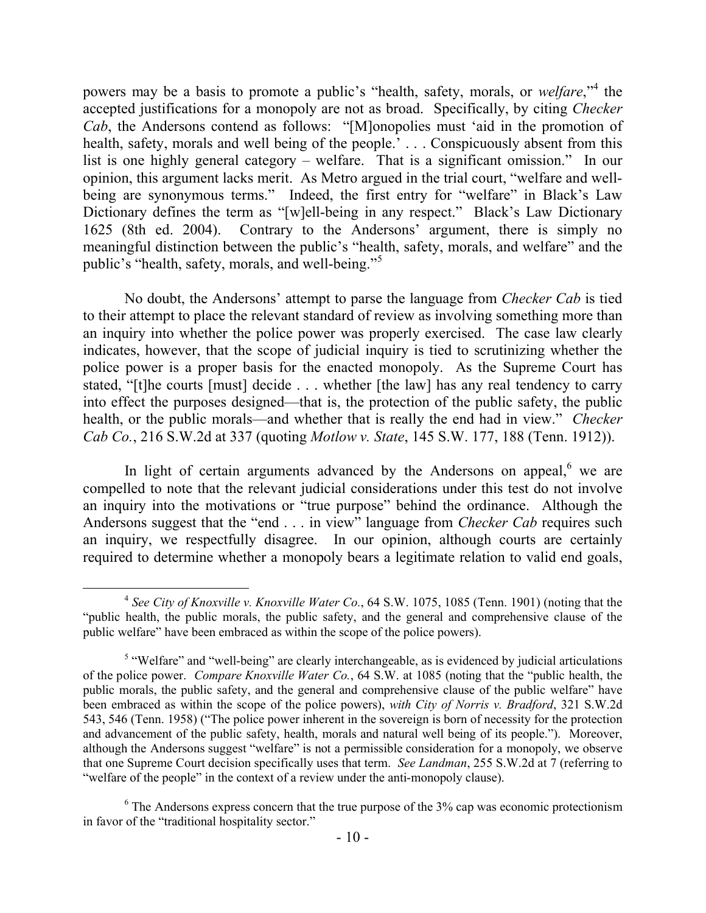powers may be a basis to promote a public's "health, safety, morals, or *welfare*,"<sup>4</sup> the accepted justifications for a monopoly are not as broad. Specifically, by citing *Checker Cab*, the Andersons contend as follows: "[M]onopolies must 'aid in the promotion of health, safety, morals and well being of the people.' . . . Conspicuously absent from this list is one highly general category – welfare. That is a significant omission." In our opinion, this argument lacks merit. As Metro argued in the trial court, "welfare and wellbeing are synonymous terms." Indeed, the first entry for "welfare" in Black's Law Dictionary defines the term as "[w]ell-being in any respect." Black's Law Dictionary 1625 (8th ed. 2004). Contrary to the Andersons' argument, there is simply no meaningful distinction between the public's "health, safety, morals, and welfare" and the public's "health, safety, morals, and well-being."<sup>5</sup>

No doubt, the Andersons' attempt to parse the language from *Checker Cab* is tied to their attempt to place the relevant standard of review as involving something more than an inquiry into whether the police power was properly exercised. The case law clearly indicates, however, that the scope of judicial inquiry is tied to scrutinizing whether the police power is a proper basis for the enacted monopoly. As the Supreme Court has stated, "[t]he courts [must] decide . . . whether [the law] has any real tendency to carry into effect the purposes designed—that is, the protection of the public safety, the public health, or the public morals—and whether that is really the end had in view." *Checker Cab Co.*, 216 S.W.2d at 337 (quoting *Motlow v. State*, 145 S.W. 177, 188 (Tenn. 1912)).

In light of certain arguments advanced by the Andersons on appeal, $6 \text{ we are}$ compelled to note that the relevant judicial considerations under this test do not involve an inquiry into the motivations or "true purpose" behind the ordinance. Although the Andersons suggest that the "end . . . in view" language from *Checker Cab* requires such an inquiry, we respectfully disagree. In our opinion, although courts are certainly required to determine whether a monopoly bears a legitimate relation to valid end goals,

 $\overline{a}$ 

<sup>4</sup> *See City of Knoxville v. Knoxville Water Co.*, 64 S.W. 1075, 1085 (Tenn. 1901) (noting that the "public health, the public morals, the public safety, and the general and comprehensive clause of the public welfare" have been embraced as within the scope of the police powers).

 $<sup>5</sup>$  "Welfare" and "well-being" are clearly interchangeable, as is evidenced by judicial articulations</sup> of the police power. *Compare Knoxville Water Co.*, 64 S.W. at 1085 (noting that the "public health, the public morals, the public safety, and the general and comprehensive clause of the public welfare" have been embraced as within the scope of the police powers), *with City of Norris v. Bradford*, 321 S.W.2d 543, 546 (Tenn. 1958) ("The police power inherent in the sovereign is born of necessity for the protection and advancement of the public safety, health, morals and natural well being of its people."). Moreover, although the Andersons suggest "welfare" is not a permissible consideration for a monopoly, we observe that one Supreme Court decision specifically uses that term. *See Landman*, 255 S.W.2d at 7 (referring to "welfare of the people" in the context of a review under the anti-monopoly clause).

 $6$  The Andersons express concern that the true purpose of the  $3\%$  cap was economic protectionism in favor of the "traditional hospitality sector."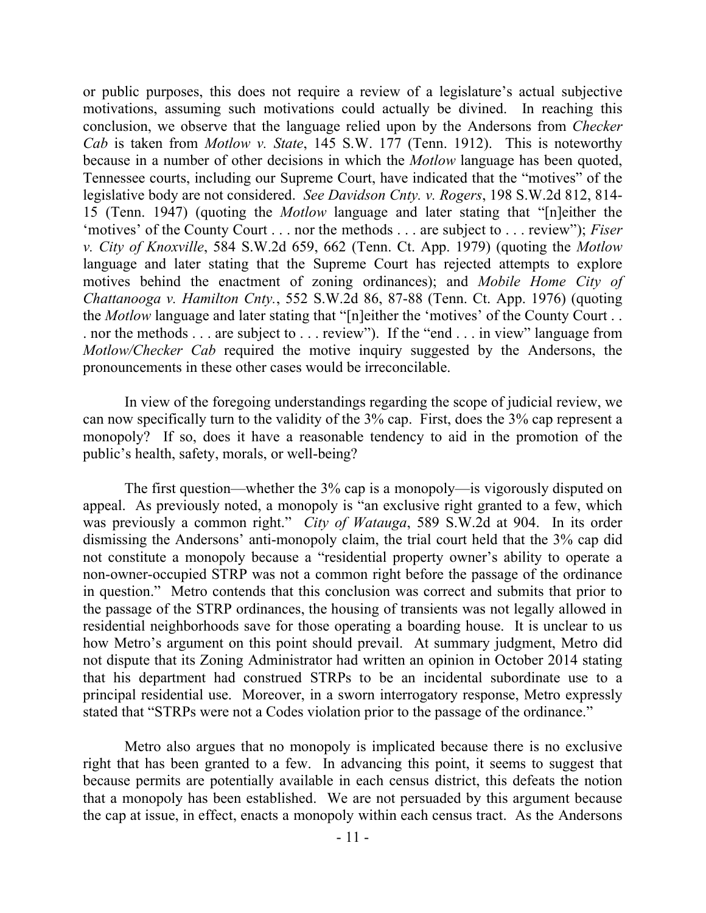or public purposes, this does not require a review of a legislature's actual subjective motivations, assuming such motivations could actually be divined. In reaching this conclusion, we observe that the language relied upon by the Andersons from *Checker Cab* is taken from *Motlow v. State*, 145 S.W. 177 (Tenn. 1912). This is noteworthy because in a number of other decisions in which the *Motlow* language has been quoted, Tennessee courts, including our Supreme Court, have indicated that the "motives" of the legislative body are not considered. *See Davidson Cnty. v. Rogers*, 198 S.W.2d 812, 814- 15 (Tenn. 1947) (quoting the *Motlow* language and later stating that "[n]either the 'motives' of the County Court . . . nor the methods . . . are subject to . . . review"); *Fiser v. City of Knoxville*, 584 S.W.2d 659, 662 (Tenn. Ct. App. 1979) (quoting the *Motlow*  language and later stating that the Supreme Court has rejected attempts to explore motives behind the enactment of zoning ordinances); and *Mobile Home City of Chattanooga v. Hamilton Cnty.*, 552 S.W.2d 86, 87-88 (Tenn. Ct. App. 1976) (quoting the *Motlow* language and later stating that "[n]either the 'motives' of the County Court . . . nor the methods . . . are subject to . . . review"). If the "end . . . in view" language from *Motlow/Checker Cab* required the motive inquiry suggested by the Andersons, the pronouncements in these other cases would be irreconcilable.

In view of the foregoing understandings regarding the scope of judicial review, we can now specifically turn to the validity of the 3% cap. First, does the 3% cap represent a monopoly? If so, does it have a reasonable tendency to aid in the promotion of the public's health, safety, morals, or well-being?

The first question—whether the 3% cap is a monopoly—is vigorously disputed on appeal. As previously noted, a monopoly is "an exclusive right granted to a few, which was previously a common right." *City of Watauga*, 589 S.W.2d at 904. In its order dismissing the Andersons' anti-monopoly claim, the trial court held that the 3% cap did not constitute a monopoly because a "residential property owner's ability to operate a non-owner-occupied STRP was not a common right before the passage of the ordinance in question." Metro contends that this conclusion was correct and submits that prior to the passage of the STRP ordinances, the housing of transients was not legally allowed in residential neighborhoods save for those operating a boarding house. It is unclear to us how Metro's argument on this point should prevail. At summary judgment, Metro did not dispute that its Zoning Administrator had written an opinion in October 2014 stating that his department had construed STRPs to be an incidental subordinate use to a principal residential use. Moreover, in a sworn interrogatory response, Metro expressly stated that "STRPs were not a Codes violation prior to the passage of the ordinance."

Metro also argues that no monopoly is implicated because there is no exclusive right that has been granted to a few. In advancing this point, it seems to suggest that because permits are potentially available in each census district, this defeats the notion that a monopoly has been established. We are not persuaded by this argument because the cap at issue, in effect, enacts a monopoly within each census tract. As the Andersons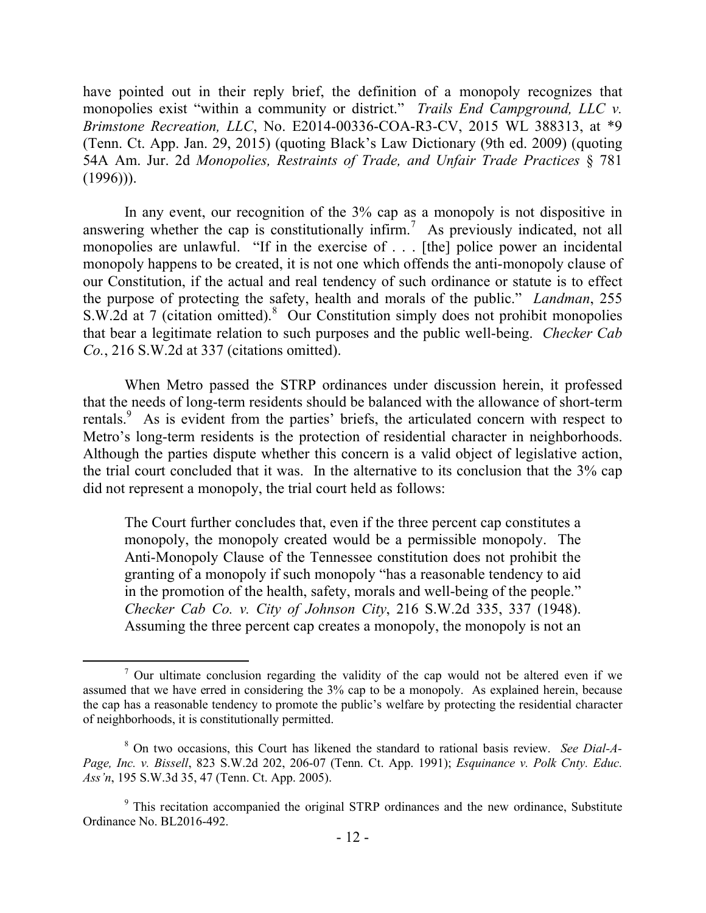have pointed out in their reply brief, the definition of a monopoly recognizes that monopolies exist "within a community or district." *Trails End Campground, LLC v. Brimstone Recreation, LLC*, No. E2014-00336-COA-R3-CV, 2015 WL 388313, at \*9 (Tenn. Ct. App. Jan. 29, 2015) (quoting Black's Law Dictionary (9th ed. 2009) (quoting 54A Am. Jur. 2d *Monopolies, Restraints of Trade, and Unfair Trade Practices* § 781  $(1996)$ ).

In any event, our recognition of the 3% cap as a monopoly is not dispositive in answering whether the cap is constitutionally infirm.<sup>7</sup> As previously indicated, not all monopolies are unlawful. "If in the exercise of . . . [the] police power an incidental monopoly happens to be created, it is not one which offends the anti-monopoly clause of our Constitution, if the actual and real tendency of such ordinance or statute is to effect the purpose of protecting the safety, health and morals of the public." *Landman*, 255 S.W.2d at 7 (citation omitted). $8$  Our Constitution simply does not prohibit monopolies that bear a legitimate relation to such purposes and the public well-being. *Checker Cab Co.*, 216 S.W.2d at 337 (citations omitted).

When Metro passed the STRP ordinances under discussion herein, it professed that the needs of long-term residents should be balanced with the allowance of short-term rentals.<sup>9</sup> As is evident from the parties' briefs, the articulated concern with respect to Metro's long-term residents is the protection of residential character in neighborhoods. Although the parties dispute whether this concern is a valid object of legislative action, the trial court concluded that it was. In the alternative to its conclusion that the 3% cap did not represent a monopoly, the trial court held as follows:

The Court further concludes that, even if the three percent cap constitutes a monopoly, the monopoly created would be a permissible monopoly. The Anti-Monopoly Clause of the Tennessee constitution does not prohibit the granting of a monopoly if such monopoly "has a reasonable tendency to aid in the promotion of the health, safety, morals and well-being of the people." *Checker Cab Co. v. City of Johnson City*, 216 S.W.2d 335, 337 (1948). Assuming the three percent cap creates a monopoly, the monopoly is not an

 $\frac{7}{1}$  Our ultimate conclusion regarding the validity of the cap would not be altered even if we assumed that we have erred in considering the 3% cap to be a monopoly. As explained herein, because the cap has a reasonable tendency to promote the public's welfare by protecting the residential character of neighborhoods, it is constitutionally permitted.

<sup>8</sup> On two occasions, this Court has likened the standard to rational basis review. *See Dial-A-Page, Inc. v. Bissell*, 823 S.W.2d 202, 206-07 (Tenn. Ct. App. 1991); *Esquinance v. Polk Cnty. Educ. Ass'n*, 195 S.W.3d 35, 47 (Tenn. Ct. App. 2005).

 $9$ <sup>9</sup> This recitation accompanied the original STRP ordinances and the new ordinance, Substitute Ordinance No. BL2016-492.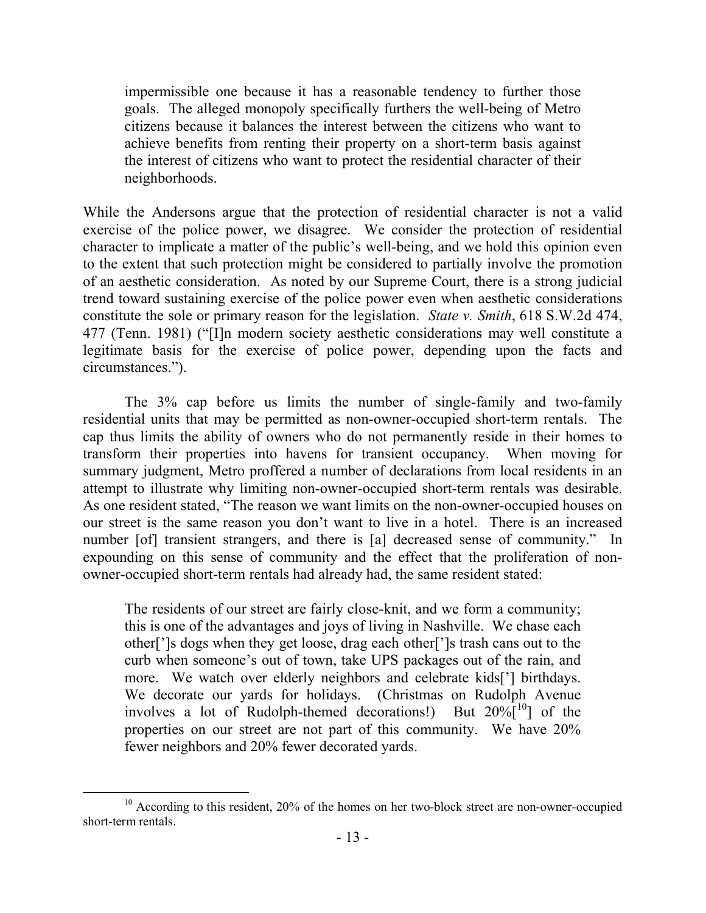impermissible one because it has a reasonable tendency to further those goals. The alleged monopoly specifically furthers the well-being of Metro citizens because it balances the interest between the citizens who want to achieve benefits from renting their property on a short-term basis against the interest of citizens who want to protect the residential character of their neighborhoods.

While the Andersons argue that the protection of residential character is not a valid exercise of the police power, we disagree. We consider the protection of residential character to implicate a matter of the public's well-being, and we hold this opinion even to the extent that such protection might be considered to partially involve the promotion of an aesthetic consideration. As noted by our Supreme Court, there is a strong judicial trend toward sustaining exercise of the police power even when aesthetic considerations constitute the sole or primary reason for the legislation. *State v. Smith*, 618 S.W.2d 474, 477 (Tenn. 1981) ("[I]n modern society aesthetic considerations may well constitute a legitimate basis for the exercise of police power, depending upon the facts and circumstances.").

The 3% cap before us limits the number of single-family and two-family residential units that may be permitted as non-owner-occupied short-term rentals. The cap thus limits the ability of owners who do not permanently reside in their homes to transform their properties into havens for transient occupancy. When moving for summary judgment, Metro proffered a number of declarations from local residents in an attempt to illustrate why limiting non-owner-occupied short-term rentals was desirable. As one resident stated, "The reason we want limits on the non-owner-occupied houses on our street is the same reason you don't want to live in a hotel. There is an increased number [of] transient strangers, and there is [a] decreased sense of community." In expounding on this sense of community and the effect that the proliferation of nonowner-occupied short-term rentals had already had, the same resident stated:

The residents of our street are fairly close-knit, and we form a community; this is one of the advantages and joys of living in Nashville. We chase each other[']s dogs when they get loose, drag each other[']s trash cans out to the curb when someone's out of town, take UPS packages out of the rain, and more. We watch over elderly neighbors and celebrate kids['] birthdays. We decorate our yards for holidays. (Christmas on Rudolph Avenue involves a lot of Rudolph-themed decorations!) But  $20\%$ <sup>[10</sup>] of the properties on our street are not part of this community. We have 20% fewer neighbors and 20% fewer decorated yards.

 <sup>10</sup> According to this resident, 20% of the homes on her two-block street are non-owner-occupied short-term rentals.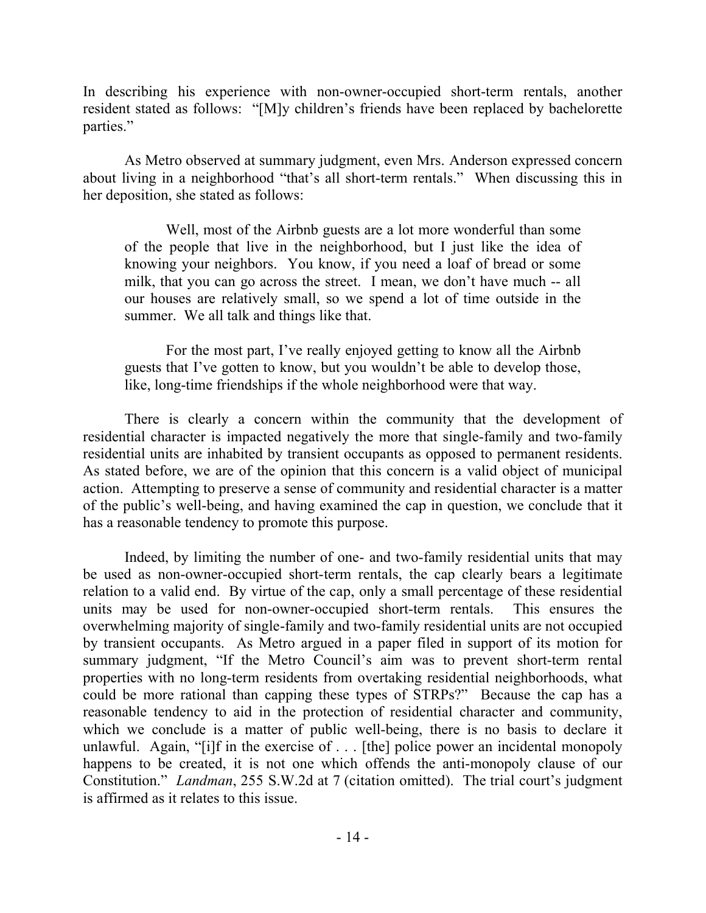In describing his experience with non-owner-occupied short-term rentals, another resident stated as follows: "[M]y children's friends have been replaced by bachelorette parties."

As Metro observed at summary judgment, even Mrs. Anderson expressed concern about living in a neighborhood "that's all short-term rentals." When discussing this in her deposition, she stated as follows:

Well, most of the Airbnb guests are a lot more wonderful than some of the people that live in the neighborhood, but I just like the idea of knowing your neighbors. You know, if you need a loaf of bread or some milk, that you can go across the street. I mean, we don't have much -- all our houses are relatively small, so we spend a lot of time outside in the summer. We all talk and things like that.

For the most part, I've really enjoyed getting to know all the Airbnb guests that I've gotten to know, but you wouldn't be able to develop those, like, long-time friendships if the whole neighborhood were that way.

There is clearly a concern within the community that the development of residential character is impacted negatively the more that single-family and two-family residential units are inhabited by transient occupants as opposed to permanent residents. As stated before, we are of the opinion that this concern is a valid object of municipal action. Attempting to preserve a sense of community and residential character is a matter of the public's well-being, and having examined the cap in question, we conclude that it has a reasonable tendency to promote this purpose.

Indeed, by limiting the number of one- and two-family residential units that may be used as non-owner-occupied short-term rentals, the cap clearly bears a legitimate relation to a valid end. By virtue of the cap, only a small percentage of these residential units may be used for non-owner-occupied short-term rentals. This ensures the overwhelming majority of single-family and two-family residential units are not occupied by transient occupants. As Metro argued in a paper filed in support of its motion for summary judgment, "If the Metro Council's aim was to prevent short-term rental properties with no long-term residents from overtaking residential neighborhoods, what could be more rational than capping these types of STRPs?" Because the cap has a reasonable tendency to aid in the protection of residential character and community, which we conclude is a matter of public well-being, there is no basis to declare it unlawful. Again, "[i]f in the exercise of . . . [the] police power an incidental monopoly happens to be created, it is not one which offends the anti-monopoly clause of our Constitution." *Landman*, 255 S.W.2d at 7 (citation omitted). The trial court's judgment is affirmed as it relates to this issue.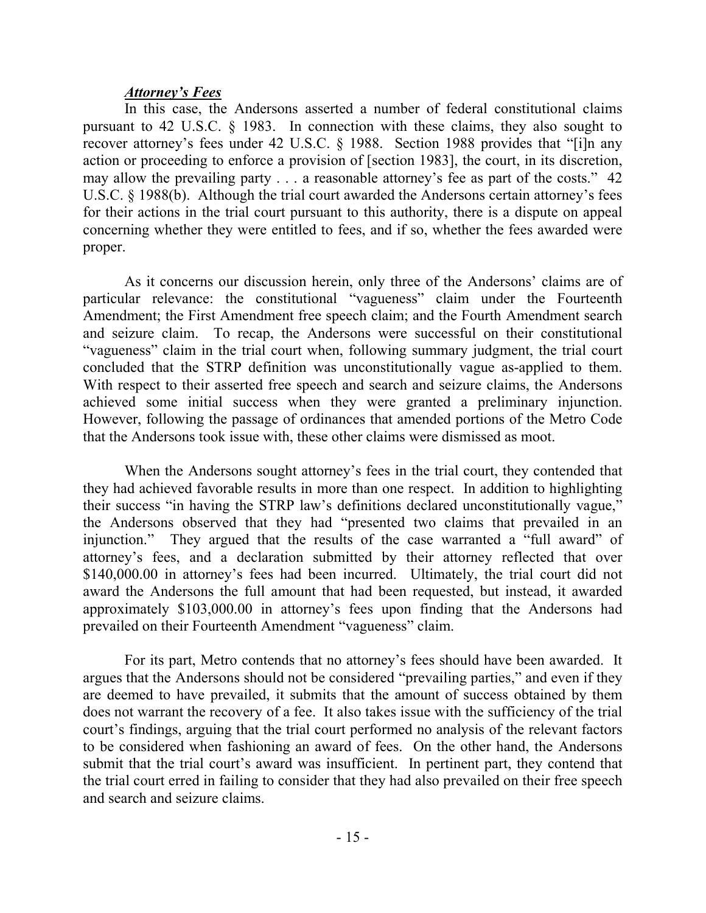### *Attorney's Fees*

In this case, the Andersons asserted a number of federal constitutional claims pursuant to 42 U.S.C. § 1983. In connection with these claims, they also sought to recover attorney's fees under 42 U.S.C. § 1988. Section 1988 provides that "[i]n any action or proceeding to enforce a provision of [section 1983], the court, in its discretion, may allow the prevailing party . . . a reasonable attorney's fee as part of the costs." 42 U.S.C. § 1988(b). Although the trial court awarded the Andersons certain attorney's fees for their actions in the trial court pursuant to this authority, there is a dispute on appeal concerning whether they were entitled to fees, and if so, whether the fees awarded were proper.

As it concerns our discussion herein, only three of the Andersons' claims are of particular relevance: the constitutional "vagueness" claim under the Fourteenth Amendment; the First Amendment free speech claim; and the Fourth Amendment search and seizure claim. To recap, the Andersons were successful on their constitutional "vagueness" claim in the trial court when, following summary judgment, the trial court concluded that the STRP definition was unconstitutionally vague as-applied to them. With respect to their asserted free speech and search and seizure claims, the Andersons achieved some initial success when they were granted a preliminary injunction. However, following the passage of ordinances that amended portions of the Metro Code that the Andersons took issue with, these other claims were dismissed as moot.

When the Andersons sought attorney's fees in the trial court, they contended that they had achieved favorable results in more than one respect. In addition to highlighting their success "in having the STRP law's definitions declared unconstitutionally vague," the Andersons observed that they had "presented two claims that prevailed in an injunction." They argued that the results of the case warranted a "full award" of attorney's fees, and a declaration submitted by their attorney reflected that over \$140,000.00 in attorney's fees had been incurred. Ultimately, the trial court did not award the Andersons the full amount that had been requested, but instead, it awarded approximately \$103,000.00 in attorney's fees upon finding that the Andersons had prevailed on their Fourteenth Amendment "vagueness" claim.

For its part, Metro contends that no attorney's fees should have been awarded. It argues that the Andersons should not be considered "prevailing parties," and even if they are deemed to have prevailed, it submits that the amount of success obtained by them does not warrant the recovery of a fee. It also takes issue with the sufficiency of the trial court's findings, arguing that the trial court performed no analysis of the relevant factors to be considered when fashioning an award of fees. On the other hand, the Andersons submit that the trial court's award was insufficient. In pertinent part, they contend that the trial court erred in failing to consider that they had also prevailed on their free speech and search and seizure claims.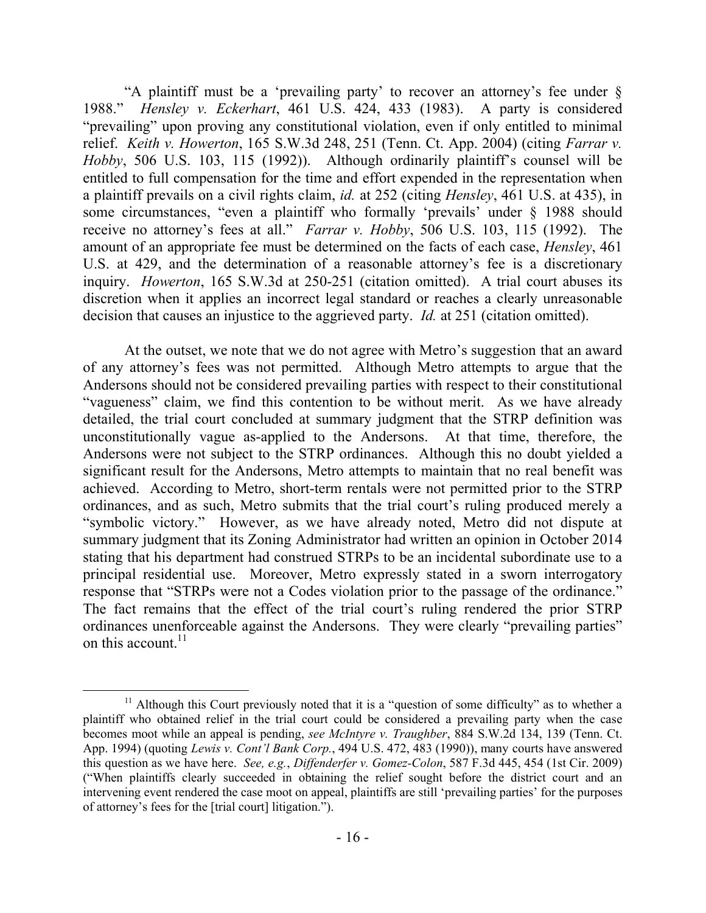"A plaintiff must be a 'prevailing party' to recover an attorney's fee under § 1988." *Hensley v. Eckerhart*, 461 U.S. 424, 433 (1983). A party is considered "prevailing" upon proving any constitutional violation, even if only entitled to minimal relief. *Keith v. Howerton*, 165 S.W.3d 248, 251 (Tenn. Ct. App. 2004) (citing *Farrar v. Hobby*, 506 U.S. 103, 115 (1992)). Although ordinarily plaintiff's counsel will be entitled to full compensation for the time and effort expended in the representation when a plaintiff prevails on a civil rights claim, *id.* at 252 (citing *Hensley*, 461 U.S. at 435), in some circumstances, "even a plaintiff who formally 'prevails' under § 1988 should receive no attorney's fees at all." *Farrar v. Hobby*, 506 U.S. 103, 115 (1992). The amount of an appropriate fee must be determined on the facts of each case, *Hensley*, 461 U.S. at 429, and the determination of a reasonable attorney's fee is a discretionary inquiry. *Howerton*, 165 S.W.3d at 250-251 (citation omitted). A trial court abuses its discretion when it applies an incorrect legal standard or reaches a clearly unreasonable decision that causes an injustice to the aggrieved party. *Id.* at 251 (citation omitted).

At the outset, we note that we do not agree with Metro's suggestion that an award of any attorney's fees was not permitted. Although Metro attempts to argue that the Andersons should not be considered prevailing parties with respect to their constitutional "vagueness" claim, we find this contention to be without merit. As we have already detailed, the trial court concluded at summary judgment that the STRP definition was unconstitutionally vague as-applied to the Andersons. At that time, therefore, the Andersons were not subject to the STRP ordinances. Although this no doubt yielded a significant result for the Andersons, Metro attempts to maintain that no real benefit was achieved. According to Metro, short-term rentals were not permitted prior to the STRP ordinances, and as such, Metro submits that the trial court's ruling produced merely a "symbolic victory." However, as we have already noted, Metro did not dispute at summary judgment that its Zoning Administrator had written an opinion in October 2014 stating that his department had construed STRPs to be an incidental subordinate use to a principal residential use. Moreover, Metro expressly stated in a sworn interrogatory response that "STRPs were not a Codes violation prior to the passage of the ordinance." The fact remains that the effect of the trial court's ruling rendered the prior STRP ordinances unenforceable against the Andersons. They were clearly "prevailing parties" on this account. $11$ 

 $\overline{a}$  $11$  Although this Court previously noted that it is a "question of some difficulty" as to whether a plaintiff who obtained relief in the trial court could be considered a prevailing party when the case becomes moot while an appeal is pending, *see McIntyre v. Traughber*, 884 S.W.2d 134, 139 (Tenn. Ct. App. 1994) (quoting *Lewis v. Cont'l Bank Corp.*, 494 U.S. 472, 483 (1990)), many courts have answered this question as we have here. *See, e.g.*, *Diffenderfer v. Gomez-Colon*, 587 F.3d 445, 454 (1st Cir. 2009) ("When plaintiffs clearly succeeded in obtaining the relief sought before the district court and an intervening event rendered the case moot on appeal, plaintiffs are still 'prevailing parties' for the purposes of attorney's fees for the [trial court] litigation.").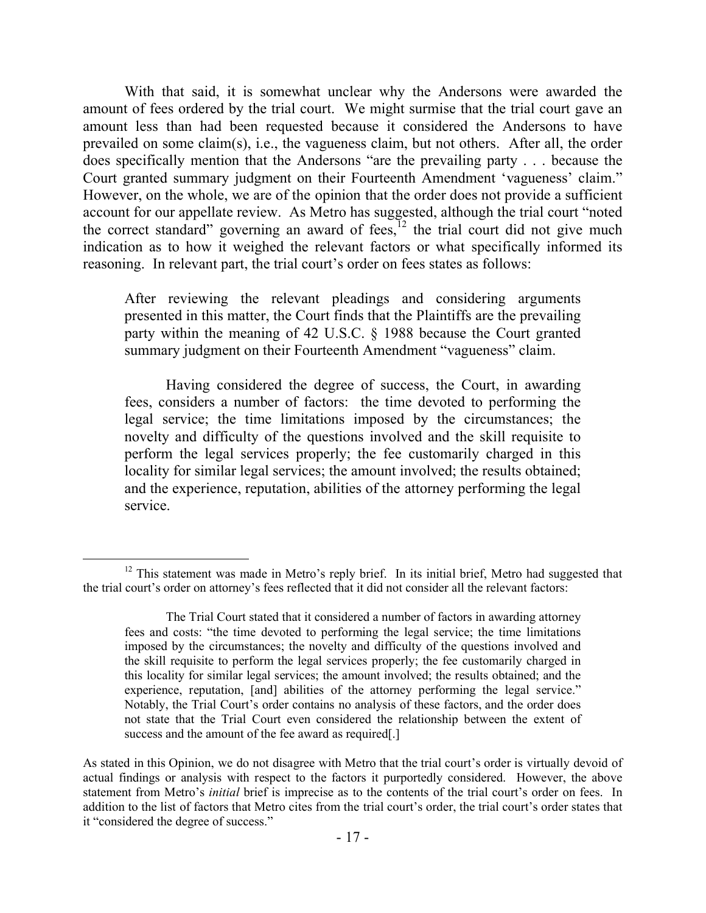With that said, it is somewhat unclear why the Andersons were awarded the amount of fees ordered by the trial court. We might surmise that the trial court gave an amount less than had been requested because it considered the Andersons to have prevailed on some claim(s), i.e., the vagueness claim, but not others. After all, the order does specifically mention that the Andersons "are the prevailing party . . . because the Court granted summary judgment on their Fourteenth Amendment 'vagueness' claim." However, on the whole, we are of the opinion that the order does not provide a sufficient account for our appellate review. As Metro has suggested, although the trial court "noted the correct standard" governing an award of fees, $12$  the trial court did not give much indication as to how it weighed the relevant factors or what specifically informed its reasoning. In relevant part, the trial court's order on fees states as follows:

After reviewing the relevant pleadings and considering arguments presented in this matter, the Court finds that the Plaintiffs are the prevailing party within the meaning of 42 U.S.C. § 1988 because the Court granted summary judgment on their Fourteenth Amendment "vagueness" claim.

Having considered the degree of success, the Court, in awarding fees, considers a number of factors: the time devoted to performing the legal service; the time limitations imposed by the circumstances; the novelty and difficulty of the questions involved and the skill requisite to perform the legal services properly; the fee customarily charged in this locality for similar legal services; the amount involved; the results obtained; and the experience, reputation, abilities of the attorney performing the legal service.

 $\overline{a}$ 

<sup>&</sup>lt;sup>12</sup> This statement was made in Metro's reply brief. In its initial brief, Metro had suggested that the trial court's order on attorney's fees reflected that it did not consider all the relevant factors:

The Trial Court stated that it considered a number of factors in awarding attorney fees and costs: "the time devoted to performing the legal service; the time limitations imposed by the circumstances; the novelty and difficulty of the questions involved and the skill requisite to perform the legal services properly; the fee customarily charged in this locality for similar legal services; the amount involved; the results obtained; and the experience, reputation, [and] abilities of the attorney performing the legal service." Notably, the Trial Court's order contains no analysis of these factors, and the order does not state that the Trial Court even considered the relationship between the extent of success and the amount of the fee award as required.

As stated in this Opinion, we do not disagree with Metro that the trial court's order is virtually devoid of actual findings or analysis with respect to the factors it purportedly considered. However, the above statement from Metro's *initial* brief is imprecise as to the contents of the trial court's order on fees. In addition to the list of factors that Metro cites from the trial court's order, the trial court's order states that it "considered the degree of success."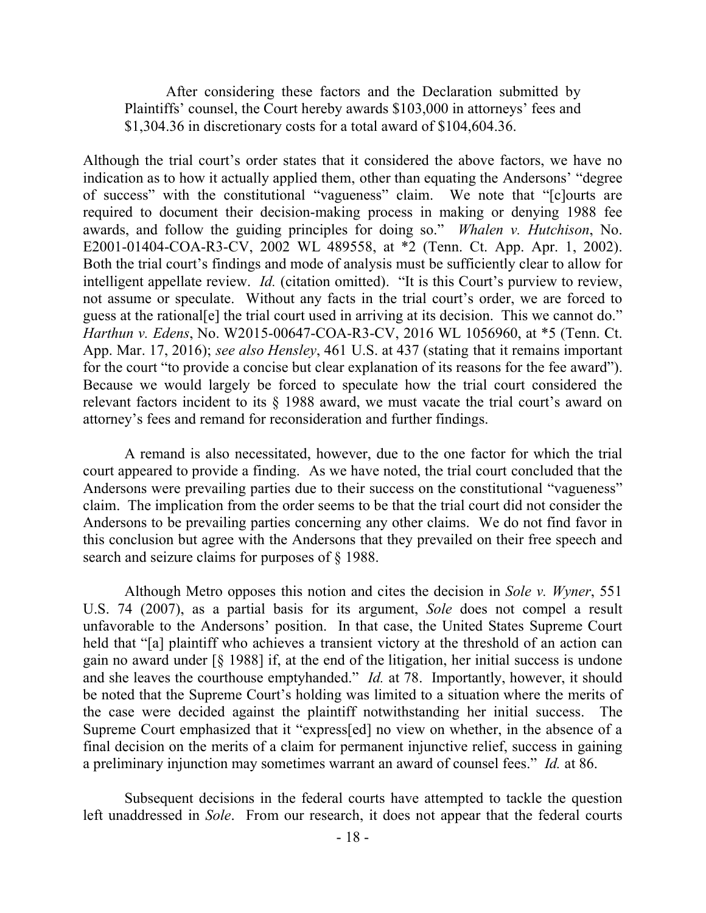After considering these factors and the Declaration submitted by Plaintiffs' counsel, the Court hereby awards \$103,000 in attorneys' fees and \$1,304.36 in discretionary costs for a total award of \$104,604.36.

Although the trial court's order states that it considered the above factors, we have no indication as to how it actually applied them, other than equating the Andersons' "degree of success" with the constitutional "vagueness" claim. We note that "[c]ourts are required to document their decision-making process in making or denying 1988 fee awards, and follow the guiding principles for doing so." *Whalen v. Hutchison*, No. E2001-01404-COA-R3-CV, 2002 WL 489558, at \*2 (Tenn. Ct. App. Apr. 1, 2002). Both the trial court's findings and mode of analysis must be sufficiently clear to allow for intelligent appellate review. *Id.* (citation omitted). "It is this Court's purview to review, not assume or speculate. Without any facts in the trial court's order, we are forced to guess at the rational[e] the trial court used in arriving at its decision. This we cannot do." *Harthun v. Edens*, No. W2015-00647-COA-R3-CV, 2016 WL 1056960, at \*5 (Tenn. Ct. App. Mar. 17, 2016); *see also Hensley*, 461 U.S. at 437 (stating that it remains important for the court "to provide a concise but clear explanation of its reasons for the fee award"). Because we would largely be forced to speculate how the trial court considered the relevant factors incident to its § 1988 award, we must vacate the trial court's award on attorney's fees and remand for reconsideration and further findings.

A remand is also necessitated, however, due to the one factor for which the trial court appeared to provide a finding. As we have noted, the trial court concluded that the Andersons were prevailing parties due to their success on the constitutional "vagueness" claim. The implication from the order seems to be that the trial court did not consider the Andersons to be prevailing parties concerning any other claims. We do not find favor in this conclusion but agree with the Andersons that they prevailed on their free speech and search and seizure claims for purposes of § 1988.

Although Metro opposes this notion and cites the decision in *Sole v. Wyner*, 551 U.S. 74 (2007), as a partial basis for its argument, *Sole* does not compel a result unfavorable to the Andersons' position. In that case, the United States Supreme Court held that "[a] plaintiff who achieves a transient victory at the threshold of an action can gain no award under [§ 1988] if, at the end of the litigation, her initial success is undone and she leaves the courthouse emptyhanded." *Id.* at 78. Importantly, however, it should be noted that the Supreme Court's holding was limited to a situation where the merits of the case were decided against the plaintiff notwithstanding her initial success. The Supreme Court emphasized that it "express[ed] no view on whether, in the absence of a final decision on the merits of a claim for permanent injunctive relief, success in gaining a preliminary injunction may sometimes warrant an award of counsel fees." *Id.* at 86.

Subsequent decisions in the federal courts have attempted to tackle the question left unaddressed in *Sole*. From our research, it does not appear that the federal courts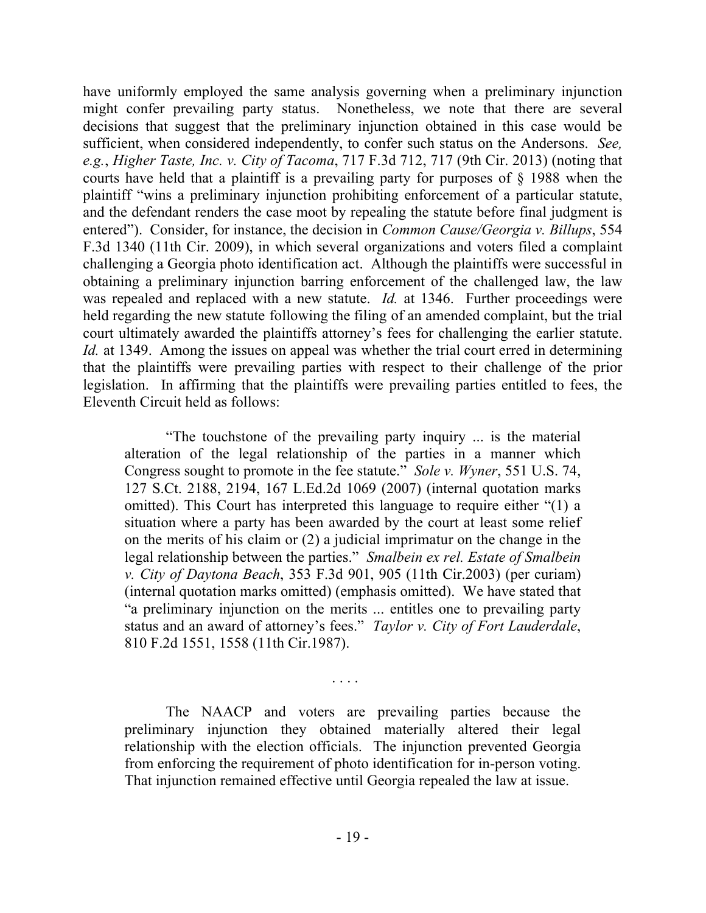have uniformly employed the same analysis governing when a preliminary injunction might confer prevailing party status. Nonetheless, we note that there are several decisions that suggest that the preliminary injunction obtained in this case would be sufficient, when considered independently, to confer such status on the Andersons. *See, e.g.*, *Higher Taste, Inc. v. City of Tacoma*, 717 F.3d 712, 717 (9th Cir. 2013) (noting that courts have held that a plaintiff is a prevailing party for purposes of § 1988 when the plaintiff "wins a preliminary injunction prohibiting enforcement of a particular statute, and the defendant renders the case moot by repealing the statute before final judgment is entered"). Consider, for instance, the decision in *Common Cause/Georgia v. Billups*, 554 F.3d 1340 (11th Cir. 2009), in which several organizations and voters filed a complaint challenging a Georgia photo identification act. Although the plaintiffs were successful in obtaining a preliminary injunction barring enforcement of the challenged law, the law was repealed and replaced with a new statute. *Id.* at 1346. Further proceedings were held regarding the new statute following the filing of an amended complaint, but the trial court ultimately awarded the plaintiffs attorney's fees for challenging the earlier statute. *Id.* at 1349. Among the issues on appeal was whether the trial court erred in determining that the plaintiffs were prevailing parties with respect to their challenge of the prior legislation. In affirming that the plaintiffs were prevailing parties entitled to fees, the Eleventh Circuit held as follows:

"The touchstone of the prevailing party inquiry ... is the material alteration of the legal relationship of the parties in a manner which Congress sought to promote in the fee statute." *Sole v. Wyner*, 551 U.S. 74, 127 S.Ct. 2188, 2194, 167 L.Ed.2d 1069 (2007) (internal quotation marks omitted). This Court has interpreted this language to require either "(1) a situation where a party has been awarded by the court at least some relief on the merits of his claim or (2) a judicial imprimatur on the change in the legal relationship between the parties." *Smalbein ex rel. Estate of Smalbein v. City of Daytona Beach*, 353 F.3d 901, 905 (11th Cir.2003) (per curiam) (internal quotation marks omitted) (emphasis omitted). We have stated that "a preliminary injunction on the merits ... entitles one to prevailing party status and an award of attorney's fees." *Taylor v. City of Fort Lauderdale*, 810 F.2d 1551, 1558 (11th Cir.1987).

The NAACP and voters are prevailing parties because the preliminary injunction they obtained materially altered their legal relationship with the election officials. The injunction prevented Georgia from enforcing the requirement of photo identification for in-person voting. That injunction remained effective until Georgia repealed the law at issue.

. . . .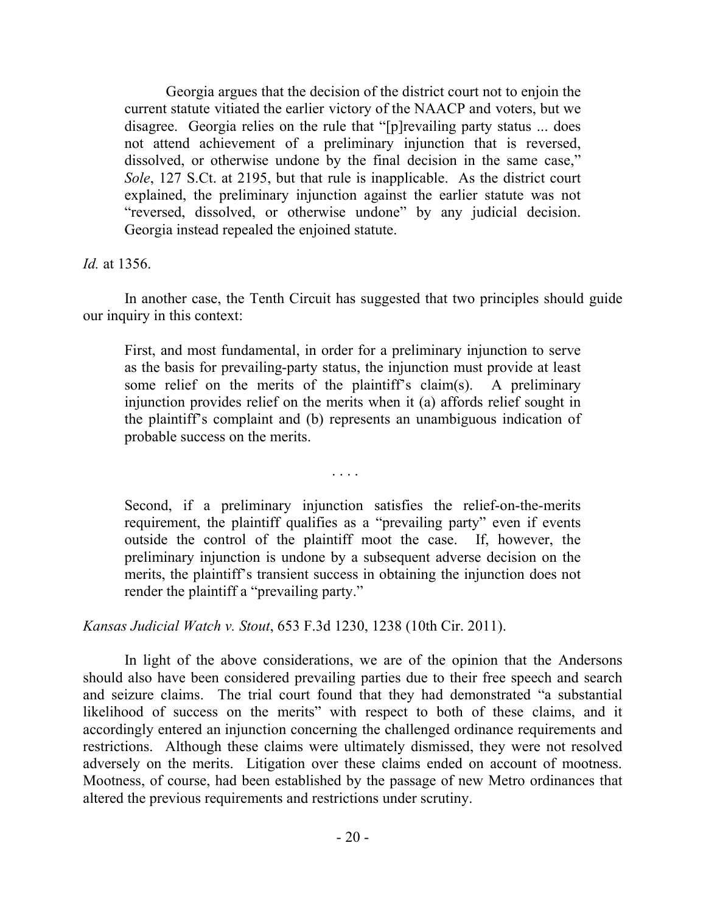Georgia argues that the decision of the district court not to enjoin the current statute vitiated the earlier victory of the NAACP and voters, but we disagree. Georgia relies on the rule that "[p]revailing party status ... does not attend achievement of a preliminary injunction that is reversed, dissolved, or otherwise undone by the final decision in the same case," *Sole*, 127 S.Ct. at 2195, but that rule is inapplicable. As the district court explained, the preliminary injunction against the earlier statute was not "reversed, dissolved, or otherwise undone" by any judicial decision. Georgia instead repealed the enjoined statute.

*Id.* at 1356.

In another case, the Tenth Circuit has suggested that two principles should guide our inquiry in this context:

First, and most fundamental, in order for a preliminary injunction to serve as the basis for prevailing-party status, the injunction must provide at least some relief on the merits of the plaintiff's claim(s). A preliminary injunction provides relief on the merits when it (a) affords relief sought in the plaintiff's complaint and (b) represents an unambiguous indication of probable success on the merits.

. . . .

Second, if a preliminary injunction satisfies the relief-on-the-merits requirement, the plaintiff qualifies as a "prevailing party" even if events outside the control of the plaintiff moot the case. If, however, the preliminary injunction is undone by a subsequent adverse decision on the merits, the plaintiff's transient success in obtaining the injunction does not render the plaintiff a "prevailing party."

*Kansas Judicial Watch v. Stout*, 653 F.3d 1230, 1238 (10th Cir. 2011).

In light of the above considerations, we are of the opinion that the Andersons should also have been considered prevailing parties due to their free speech and search and seizure claims. The trial court found that they had demonstrated "a substantial likelihood of success on the merits" with respect to both of these claims, and it accordingly entered an injunction concerning the challenged ordinance requirements and restrictions. Although these claims were ultimately dismissed, they were not resolved adversely on the merits. Litigation over these claims ended on account of mootness. Mootness, of course, had been established by the passage of new Metro ordinances that altered the previous requirements and restrictions under scrutiny.